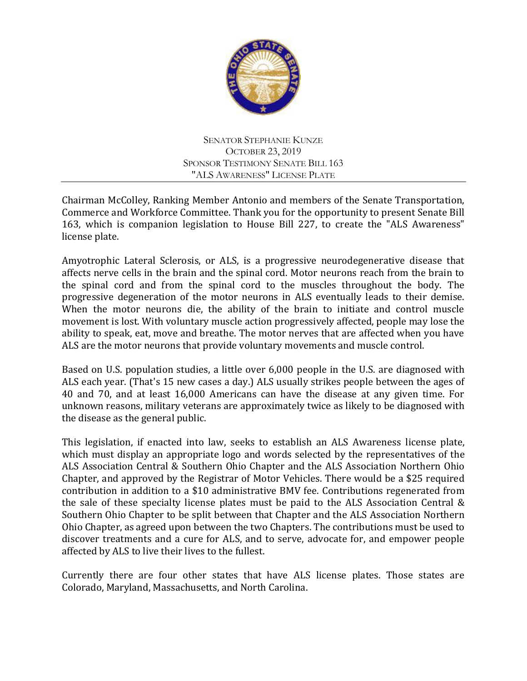

SENATOR STEPHANIE KUNZE OCTOBER 23, 2019 SPONSOR TESTIMONY SENATE BILL 163 "ALS AWARENESS" LICENSE PLATE

Chairman McColley, Ranking Member Antonio and members of the Senate Transportation, Commerce and Workforce Committee. Thank you for the opportunity to present Senate Bill 163, which is companion legislation to House Bill 227, to create the "ALS Awareness" license plate.

Amyotrophic Lateral Sclerosis, or ALS, is a progressive neurodegenerative disease that affects nerve cells in the brain and the spinal cord. Motor neurons reach from the brain to the spinal cord and from the spinal cord to the muscles throughout the body. The progressive degeneration of the motor neurons in ALS eventually leads to their demise. When the motor neurons die, the ability of the brain to initiate and control muscle movement is lost. With voluntary muscle action progressively affected, people may lose the ability to speak, eat, move and breathe. The motor nerves that are affected when you have ALS are the motor neurons that provide voluntary movements and muscle control.

Based on U.S. population studies, a little over 6,000 people in the U.S. are diagnosed with ALS each year. (That's 15 new cases a day.) ALS usually strikes people between the ages of 40 and 70, and at least 16,000 Americans can have the disease at any given time. For unknown reasons, military veterans are approximately twice as likely to be diagnosed with the disease as the general public.

This legislation, if enacted into law, seeks to establish an ALS Awareness license plate, which must display an appropriate logo and words selected by the representatives of the ALS Association Central & Southern Ohio Chapter and the ALS Association Northern Ohio Chapter, and approved by the Registrar of Motor Vehicles. There would be a \$25 required contribution in addition to a \$10 administrative BMV fee. Contributions regenerated from the sale of these specialty license plates must be paid to the ALS Association Central & Southern Ohio Chapter to be split between that Chapter and the ALS Association Northern Ohio Chapter, as agreed upon between the two Chapters. The contributions must be used to discover treatments and a cure for ALS, and to serve, advocate for, and empower people affected by ALS to live their lives to the fullest.

Currently there are four other states that have ALS license plates. Those states are Colorado, Maryland, Massachusetts, and North Carolina.